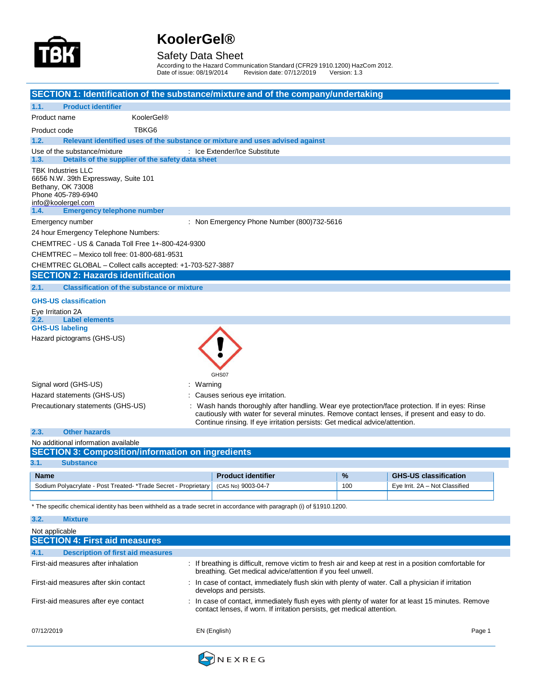

#### Safety Data Sheet

According to the Hazard Communication Standard (CFR29 1910.1200) HazCom 2012. Date of issue: 08/19/2014 Revision date: 07/12/2019 Version: 1.3

| SECTION 1: Identification of the substance/mixture and of the company/undertaking                                                  |           |                                                                                                                           |     |                                                                                                                                                                                                |
|------------------------------------------------------------------------------------------------------------------------------------|-----------|---------------------------------------------------------------------------------------------------------------------------|-----|------------------------------------------------------------------------------------------------------------------------------------------------------------------------------------------------|
| <b>Product identifier</b><br>1.1.                                                                                                  |           |                                                                                                                           |     |                                                                                                                                                                                                |
| KoolerGel®<br>Product name                                                                                                         |           |                                                                                                                           |     |                                                                                                                                                                                                |
| TBKG6<br>Product code                                                                                                              |           |                                                                                                                           |     |                                                                                                                                                                                                |
| 1.2.<br>Relevant identified uses of the substance or mixture and uses advised against                                              |           |                                                                                                                           |     |                                                                                                                                                                                                |
| Use of the substance/mixture                                                                                                       |           | : Ice Extender/Ice Substitute                                                                                             |     |                                                                                                                                                                                                |
| Details of the supplier of the safety data sheet<br>1.3.                                                                           |           |                                                                                                                           |     |                                                                                                                                                                                                |
| <b>TBK Industries LLC</b><br>6656 N.W. 39th Expressway, Suite 101<br>Bethany, OK 73008<br>Phone 405-789-6940<br>info@koolergel.com |           |                                                                                                                           |     |                                                                                                                                                                                                |
| <b>Emergency telephone number</b><br>1.4.                                                                                          |           |                                                                                                                           |     |                                                                                                                                                                                                |
| Emergency number                                                                                                                   |           | : Non Emergency Phone Number (800)732-5616                                                                                |     |                                                                                                                                                                                                |
| 24 hour Emergency Telephone Numbers:                                                                                               |           |                                                                                                                           |     |                                                                                                                                                                                                |
| CHEMTREC - US & Canada Toll Free 1+-800-424-9300                                                                                   |           |                                                                                                                           |     |                                                                                                                                                                                                |
| CHEMTREC - Mexico toll free: 01-800-681-9531                                                                                       |           |                                                                                                                           |     |                                                                                                                                                                                                |
| CHEMTREC GLOBAL - Collect calls accepted: +1-703-527-3887                                                                          |           |                                                                                                                           |     |                                                                                                                                                                                                |
| <b>SECTION 2: Hazards identification</b>                                                                                           |           |                                                                                                                           |     |                                                                                                                                                                                                |
| <b>Classification of the substance or mixture</b><br>2.1.                                                                          |           |                                                                                                                           |     |                                                                                                                                                                                                |
| <b>GHS-US classification</b>                                                                                                       |           |                                                                                                                           |     |                                                                                                                                                                                                |
| Eye Irritation 2A                                                                                                                  |           |                                                                                                                           |     |                                                                                                                                                                                                |
| <b>Label elements</b><br>2.2.<br><b>GHS-US labeling</b>                                                                            |           |                                                                                                                           |     |                                                                                                                                                                                                |
| Hazard pictograms (GHS-US)                                                                                                         |           |                                                                                                                           |     |                                                                                                                                                                                                |
| Signal word (GHS-US)<br>Hazard statements (GHS-US)<br>Precautionary statements (GHS-US)<br><b>Other hazards</b><br>2.3.            | : Warning | GHS07<br>: Causes serious eye irritation.<br>Continue rinsing. If eye irritation persists: Get medical advice/attention.  |     | : Wash hands thoroughly after handling. Wear eye protection/face protection. If in eyes: Rinse<br>cautiously with water for several minutes. Remove contact lenses, if present and easy to do. |
| No additional information available                                                                                                |           |                                                                                                                           |     |                                                                                                                                                                                                |
| <b>SECTION 3: Composition/information on ingredients</b>                                                                           |           |                                                                                                                           |     |                                                                                                                                                                                                |
| 3.1.<br><b>Substance</b>                                                                                                           |           |                                                                                                                           |     |                                                                                                                                                                                                |
| <b>Name</b>                                                                                                                        |           | <b>Product identifier</b>                                                                                                 | %   | <b>GHS-US classification</b>                                                                                                                                                                   |
| Sodium Polyacrylate - Post Treated- *Trade Secret - Proprietary                                                                    |           | (CAS No) 9003-04-7                                                                                                        | 100 | Eye Irrit. 2A - Not Classified                                                                                                                                                                 |
|                                                                                                                                    |           |                                                                                                                           |     |                                                                                                                                                                                                |
| * The specific chemical identity has been withheld as a trade secret in accordance with paragraph (i) of §1910.1200.               |           |                                                                                                                           |     |                                                                                                                                                                                                |
| 3.2.<br><b>Mixture</b>                                                                                                             |           |                                                                                                                           |     |                                                                                                                                                                                                |
| Not applicable                                                                                                                     |           |                                                                                                                           |     |                                                                                                                                                                                                |
| <b>SECTION 4: First aid measures</b>                                                                                               |           |                                                                                                                           |     |                                                                                                                                                                                                |
| 4.1.<br><b>Description of first aid measures</b>                                                                                   |           |                                                                                                                           |     |                                                                                                                                                                                                |
| First-aid measures after inhalation                                                                                                |           | breathing. Get medical advice/attention if you feel unwell.                                                               |     | : If breathing is difficult, remove victim to fresh air and keep at rest in a position comfortable for                                                                                         |
| First-aid measures after skin contact                                                                                              |           | In case of contact, immediately flush skin with plenty of water. Call a physician if irritation<br>develops and persists. |     |                                                                                                                                                                                                |
| First-aid measures after eye contact                                                                                               |           | contact lenses, if worn. If irritation persists, get medical attention.                                                   |     | : In case of contact, immediately flush eyes with plenty of water for at least 15 minutes. Remove                                                                                              |
| 07/12/2019                                                                                                                         |           | EN (English)                                                                                                              |     | Page 1                                                                                                                                                                                         |

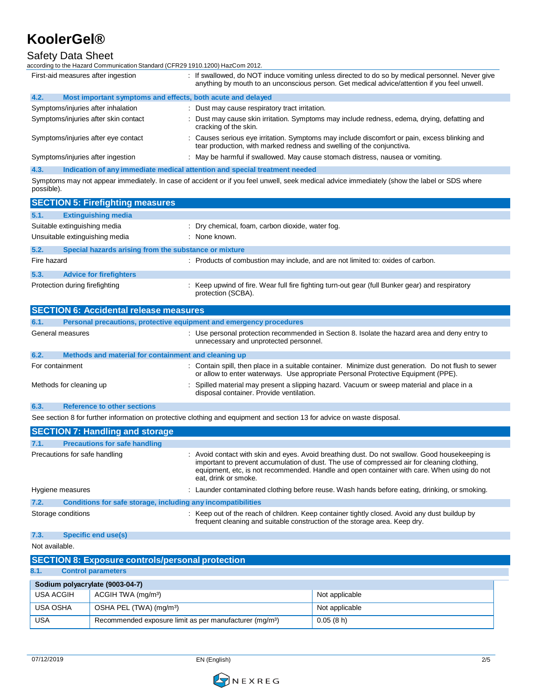#### Safety Data Sheet

according to the Hazard Communication Standard (CFR29 1910.1200) HazCom 2012.

| First-aid measures after ingestion                                                        | : If swallowed, do NOT induce vomiting unless directed to do so by medical personnel. Never give<br>anything by mouth to an unconscious person. Get medical advice/attention if you feel unwell. |
|-------------------------------------------------------------------------------------------|--------------------------------------------------------------------------------------------------------------------------------------------------------------------------------------------------|
| 4.2.<br>Most important symptoms and effects, both acute and delayed                       |                                                                                                                                                                                                  |
| Symptoms/injuries after inhalation                                                        | : Dust may cause respiratory tract irritation.                                                                                                                                                   |
| Symptoms/injuries after skin contact                                                      | : Dust may cause skin irritation. Symptoms may include redness, edema, drying, defatting and<br>cracking of the skin.                                                                            |
| Symptoms/injuries after eye contact                                                       | : Causes serious eye irritation. Symptoms may include discomfort or pain, excess blinking and<br>tear production, with marked redness and swelling of the conjunctiva.                           |
| Symptoms/injuries after ingestion                                                         | : May be harmful if swallowed. May cause stomach distress, nausea or vomiting.                                                                                                                   |
| $\sqrt{2}$<br>Indication of any immediate medical ettertion and onesial treatment needsel |                                                                                                                                                                                                  |

**4.3. Indication of any immediate medical attention and special treatment needed**

Symptoms may not appear immediately. In case of accident or if you feel unwell, seek medical advice immediately (show the label or SDS where possible).

|                | <b>SECTION 5: Firefighting measures</b>                             |                                                                                                                                                                                                                                                                                                                     |  |
|----------------|---------------------------------------------------------------------|---------------------------------------------------------------------------------------------------------------------------------------------------------------------------------------------------------------------------------------------------------------------------------------------------------------------|--|
| 5.1.           | <b>Extinguishing media</b>                                          |                                                                                                                                                                                                                                                                                                                     |  |
|                | Suitable extinguishing media                                        | : Dry chemical, foam, carbon dioxide, water fog.                                                                                                                                                                                                                                                                    |  |
|                | Unsuitable extinguishing media                                      | : None known.                                                                                                                                                                                                                                                                                                       |  |
| 5.2.           | Special hazards arising from the substance or mixture               |                                                                                                                                                                                                                                                                                                                     |  |
| Fire hazard    |                                                                     | : Products of combustion may include, and are not limited to: oxides of carbon.                                                                                                                                                                                                                                     |  |
| 5.3.           | <b>Advice for firefighters</b>                                      |                                                                                                                                                                                                                                                                                                                     |  |
|                | Protection during firefighting                                      | : Keep upwind of fire. Wear full fire fighting turn-out gear (full Bunker gear) and respiratory<br>protection (SCBA).                                                                                                                                                                                               |  |
|                | <b>SECTION 6: Accidental release measures</b>                       |                                                                                                                                                                                                                                                                                                                     |  |
| 6.1.           | Personal precautions, protective equipment and emergency procedures |                                                                                                                                                                                                                                                                                                                     |  |
|                | General measures                                                    | : Use personal protection recommended in Section 8. Isolate the hazard area and deny entry to<br>unnecessary and unprotected personnel.                                                                                                                                                                             |  |
| 6.2.           | Methods and material for containment and cleaning up                |                                                                                                                                                                                                                                                                                                                     |  |
|                | For containment                                                     | : Contain spill, then place in a suitable container. Minimize dust generation. Do not flush to sewer<br>or allow to enter waterways. Use appropriate Personal Protective Equipment (PPE).                                                                                                                           |  |
|                | Methods for cleaning up                                             | : Spilled material may present a slipping hazard. Vacuum or sweep material and place in a<br>disposal container. Provide ventilation.                                                                                                                                                                               |  |
| 6.3.           | <b>Reference to other sections</b>                                  |                                                                                                                                                                                                                                                                                                                     |  |
|                |                                                                     | See section 8 for further information on protective clothing and equipment and section 13 for advice on waste disposal.                                                                                                                                                                                             |  |
|                | <b>SECTION 7: Handling and storage</b>                              |                                                                                                                                                                                                                                                                                                                     |  |
| 7.1.           | <b>Precautions for safe handling</b>                                |                                                                                                                                                                                                                                                                                                                     |  |
|                | Precautions for safe handling                                       | : Avoid contact with skin and eyes. Avoid breathing dust. Do not swallow. Good housekeeping is<br>important to prevent accumulation of dust. The use of compressed air for cleaning clothing,<br>equipment, etc, is not recommended. Handle and open container with care. When using do not<br>eat, drink or smoke. |  |
|                | Hygiene measures                                                    | : Launder contaminated clothing before reuse. Wash hands before eating, drinking, or smoking.                                                                                                                                                                                                                       |  |
| 7.2.           | Conditions for safe storage, including any incompatibilities        |                                                                                                                                                                                                                                                                                                                     |  |
|                | Storage conditions                                                  | : Keep out of the reach of children. Keep container tightly closed. Avoid any dust buildup by<br>frequent cleaning and suitable construction of the storage area. Keep dry.                                                                                                                                         |  |
| 7.3.           | <b>Specific end use(s)</b>                                          |                                                                                                                                                                                                                                                                                                                     |  |
| Not available. |                                                                     |                                                                                                                                                                                                                                                                                                                     |  |

|                                 | <b>SECTION 8: Exposure controls/personal protection</b>             |                |  |  |
|---------------------------------|---------------------------------------------------------------------|----------------|--|--|
| 8.1.                            | <b>Control parameters</b>                                           |                |  |  |
| Sodium polyacrylate (9003-04-7) |                                                                     |                |  |  |
| <b>USA ACGIH</b>                | ACGIH TWA (mg/m <sup>3</sup> )                                      | Not applicable |  |  |
| <b>USA OSHA</b>                 | OSHA PEL (TWA) (mg/m <sup>3</sup> )                                 | Not applicable |  |  |
| <b>USA</b>                      | Recommended exposure limit as per manufacturer (mg/m <sup>3</sup> ) | 0.05(8 h)      |  |  |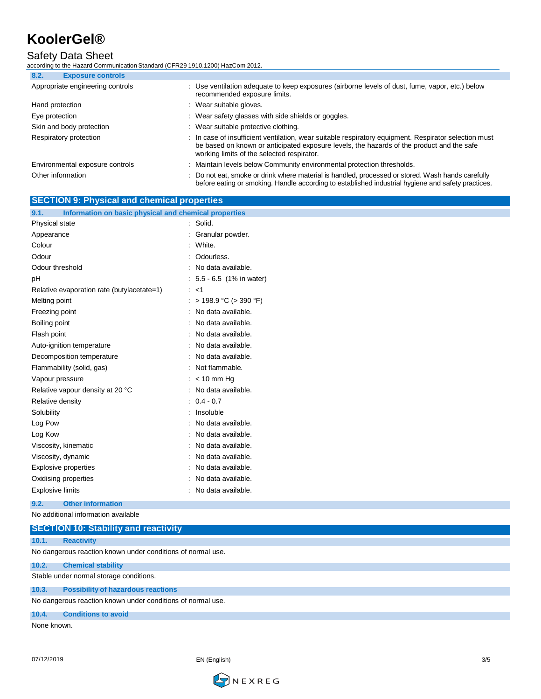### Safety Data Sheet

according to the Hazard Communication Standard (CFR29 1910.1200) HazCom 2012.

| <b>Exposure controls</b><br>8.2. |                                                                                                                                                                                                                                                  |
|----------------------------------|--------------------------------------------------------------------------------------------------------------------------------------------------------------------------------------------------------------------------------------------------|
| Appropriate engineering controls | : Use ventilation adequate to keep exposures (airborne levels of dust, fume, vapor, etc.) below<br>recommended exposure limits.                                                                                                                  |
| Hand protection                  | : Wear suitable gloves.                                                                                                                                                                                                                          |
| Eye protection                   | : Wear safety glasses with side shields or goggles.                                                                                                                                                                                              |
| Skin and body protection         | : Wear suitable protective clothing.                                                                                                                                                                                                             |
| Respiratory protection           | : In case of insufficient ventilation, wear suitable respiratory equipment. Respirator selection must<br>be based on known or anticipated exposure levels, the hazards of the product and the safe<br>working limits of the selected respirator. |
| Environmental exposure controls  | : Maintain levels below Community environmental protection thresholds.                                                                                                                                                                           |
| Other information                | : Do not eat, smoke or drink where material is handled, processed or stored. Wash hands carefully<br>before eating or smoking. Handle according to established industrial hygiene and safety practices.                                          |

### **SECTION 9: Physical and chemical properties**

| 9.1.<br>Information on basic physical and chemical properties |                           |
|---------------------------------------------------------------|---------------------------|
| <b>Physical state</b>                                         | : Solid.                  |
| Appearance                                                    | Granular powder.          |
| Colour                                                        | White.                    |
| Odour                                                         | Odourless.                |
| Odour threshold                                               | No data available.        |
| pH                                                            | : 5.5 - 6.5 (1% in water) |
| Relative evaporation rate (butylacetate=1)                    | $:$ <1                    |
| Melting point                                                 | : > 198.9 °C (> 390 °F)   |
| Freezing point                                                | No data available.        |
| Boiling point                                                 | No data available.        |
| Flash point                                                   | No data available.        |
| Auto-ignition temperature                                     | No data available.        |
| Decomposition temperature                                     | No data available.        |
| Flammability (solid, gas)                                     | Not flammable.            |
| Vapour pressure                                               | $:$ < 10 mm Hg            |
| Relative vapour density at 20 °C                              | No data available.        |
| Relative density                                              | $0.4 - 0.7$<br>÷          |
| Solubility                                                    | Insoluble                 |
| Log Pow                                                       | No data available.        |
| Log Kow                                                       | No data available.        |
| Viscosity, kinematic                                          | No data available.        |
| Viscosity, dynamic                                            | No data available.        |
| Explosive properties                                          | No data available.        |
| Oxidising properties                                          | No data available.        |
| <b>Explosive limits</b>                                       | No data available.        |
| <b>Other information</b><br>9.2.                              |                           |
| No additional information available                           |                           |

**SECTION 10: Stability and reactivity 10.1. Reactivity** No dangerous reaction known under conditions of normal use. **10.2. Chemical stability** Stable under normal storage conditions. **10.3. Possibility of hazardous reactions** No dangerous reaction known under conditions of normal use. **10.4. Conditions to avoid** None known.

EN (English) 3/5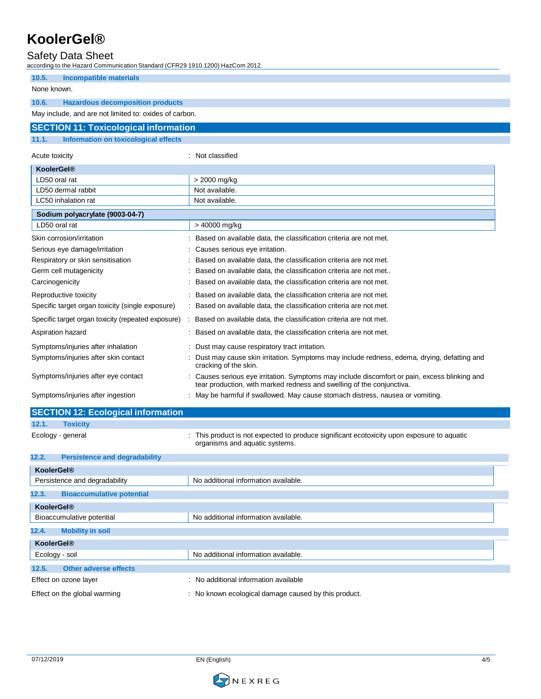#### Safety Data Sheet

according to the Hazard Communication Standard (CFR29 1910.1200) HazCom 2012.

| <b>Incompatible materials</b><br>10.5.                 |                                                                                                                                                                      |
|--------------------------------------------------------|----------------------------------------------------------------------------------------------------------------------------------------------------------------------|
| None known.                                            |                                                                                                                                                                      |
| 10.6.<br><b>Hazardous decomposition products</b>       |                                                                                                                                                                      |
| May include, and are not limited to: oxides of carbon. |                                                                                                                                                                      |
| <b>SECTION 11: Toxicological information</b>           |                                                                                                                                                                      |
| 11.1.<br>Information on toxicological effects          |                                                                                                                                                                      |
| Acute toxicity                                         | : Not classified                                                                                                                                                     |
| <b>KoolerGel®</b>                                      |                                                                                                                                                                      |
| LD50 oral rat                                          | > 2000 mg/kg                                                                                                                                                         |
| LD50 dermal rabbit                                     | Not available.                                                                                                                                                       |
| LC50 inhalation rat                                    | Not available.                                                                                                                                                       |
| Sodium polyacrylate (9003-04-7)                        |                                                                                                                                                                      |
| LD50 oral rat                                          | > 40000 mg/kg                                                                                                                                                        |
| Skin corrosion/irritation                              | Based on available data, the classification criteria are not met.                                                                                                    |
| Serious eye damage/irritation                          | Causes serious eye irritation.                                                                                                                                       |
| Respiratory or skin sensitisation                      | Based on available data, the classification criteria are not met.                                                                                                    |
| Germ cell mutagenicity                                 | Based on available data, the classification criteria are not met                                                                                                     |
| Carcinogenicity                                        | Based on available data, the classification criteria are not met.                                                                                                    |
| Reproductive toxicity                                  | Based on available data, the classification criteria are not met.                                                                                                    |
| Specific target organ toxicity (single exposure)       | : Based on available data, the classification criteria are not met.                                                                                                  |
| Specific target organ toxicity (repeated exposure)     | : Based on available data, the classification criteria are not met.                                                                                                  |
| Aspiration hazard                                      | Based on available data, the classification criteria are not met.                                                                                                    |
| Symptoms/injuries after inhalation                     | Dust may cause respiratory tract irritation.                                                                                                                         |
| Symptoms/injuries after skin contact                   | Dust may cause skin irritation. Symptoms may include redness, edema, drying, defatting and<br>cracking of the skin.                                                  |
| Symptoms/injuries after eye contact                    | Causes serious eye irritation. Symptoms may include discomfort or pain, excess blinking and<br>tear production, with marked redness and swelling of the conjunctiva. |
| Symptoms/injuries after ingestion                      | May be harmful if swallowed. May cause stomach distress, nausea or vomiting.                                                                                         |
| <b>SECTION 12: Ecological information</b>              |                                                                                                                                                                      |

|  | 12.1 |  | Toxicitv |  |  |
|--|------|--|----------|--|--|
|--|------|--|----------|--|--|

Ecology - general **interpretatal** : This product is not expected to produce significant ecotoxicity upon exposure to aquatic organisms and aquatic systems.

| 12.2.             | <b>Persistence and degradability</b> |                                                      |
|-------------------|--------------------------------------|------------------------------------------------------|
| <b>KoolerGel®</b> |                                      |                                                      |
|                   | Persistence and degradability        | No additional information available.                 |
| 12.3.             | <b>Bioaccumulative potential</b>     |                                                      |
| <b>KoolerGel®</b> |                                      |                                                      |
|                   | Bioaccumulative potential            | No additional information available.                 |
| 12.4.             | <b>Mobility in soil</b>              |                                                      |
| <b>KoolerGel®</b> |                                      |                                                      |
| Ecology - soil    |                                      | No additional information available.                 |
| 12.5.             | <b>Other adverse effects</b>         |                                                      |
|                   | Effect on ozone layer                | : No additional information available                |
|                   | Effect on the global warming         | : No known ecological damage caused by this product. |